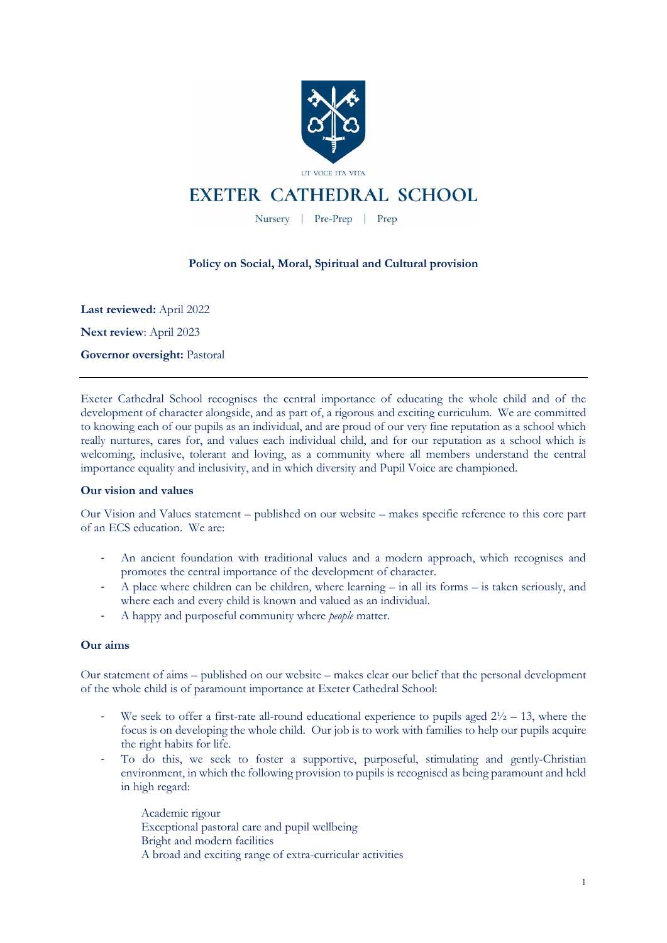

# **EXETER CATHEDRAL SCHOOL**

Nursery | Pre-Prep | Prep

## **Policy on Social, Moral, Spiritual and Cultural provision**

**Last reviewed:** April 2022

**Next review**: April 2023

**Governor oversight:** Pastoral

Exeter Cathedral School recognises the central importance of educating the whole child and of the development of character alongside, and as part of, a rigorous and exciting curriculum. We are committed to knowing each of our pupils as an individual, and are proud of our very fine reputation as a school which really nurtures, cares for, and values each individual child, and for our reputation as a school which is welcoming, inclusive, tolerant and loving, as a community where all members understand the central importance equality and inclusivity, and in which diversity and Pupil Voice are championed.

### **Our vision and values**

Our Vision and Values statement – published on our website – makes specific reference to this core part of an ECS education. We are:

- An ancient foundation with traditional values and a modern approach, which recognises and promotes the central importance of the development of character.
- A place where children can be children, where learning in all its forms is taken seriously, and where each and every child is known and valued as an individual.
- A happy and purposeful community where *people* matter.

### **Our aims**

Our statement of aims – published on our website – makes clear our belief that the personal development of the whole child is of paramount importance at Exeter Cathedral School:

- We seek to offer a first-rate all-round educational experience to pupils aged  $2\frac{1}{2}$  13, where the focus is on developing the whole child. Our job is to work with families to help our pupils acquire the right habits for life.
- To do this, we seek to foster a supportive, purposeful, stimulating and gently-Christian environment, in which the following provision to pupils is recognised as being paramount and held in high regard:

Academic rigour Exceptional pastoral care and pupil wellbeing Bright and modern facilities A broad and exciting range of extra-curricular activities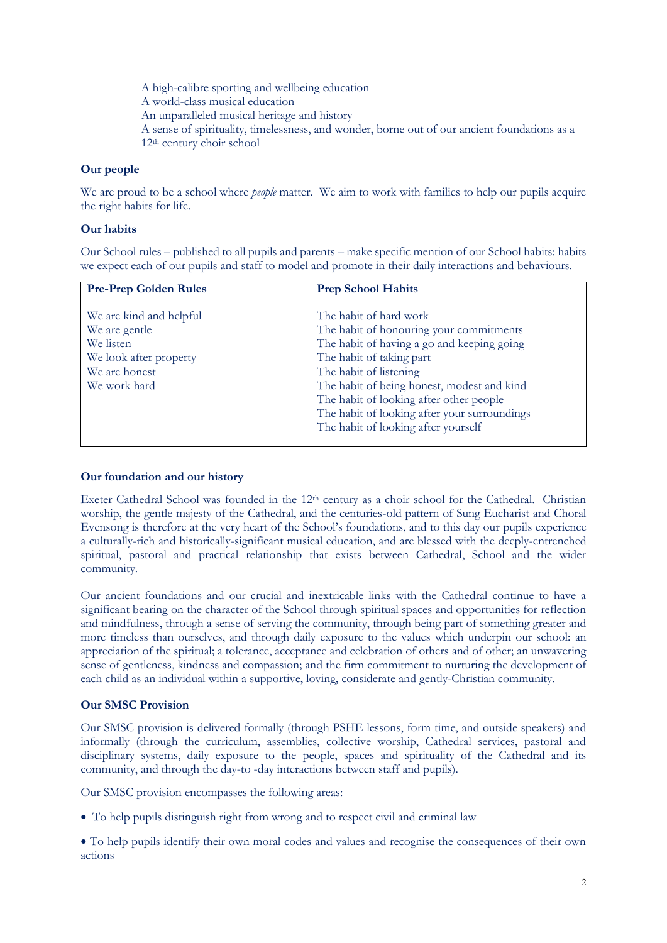A high-calibre sporting and wellbeing education A world-class musical education An unparalleled musical heritage and history A sense of spirituality, timelessness, and wonder, borne out of our ancient foundations as a 12th century choir school

## **Our people**

We are proud to be a school where *people* matter. We aim to work with families to help our pupils acquire the right habits for life.

### **Our habits**

Our School rules – published to all pupils and parents – make specific mention of our School habits: habits we expect each of our pupils and staff to model and promote in their daily interactions and behaviours.

| <b>Pre-Prep Golden Rules</b> | <b>Prep School Habits</b>                    |
|------------------------------|----------------------------------------------|
|                              |                                              |
| We are kind and helpful      | The habit of hard work                       |
| We are gentle                | The habit of honouring your commitments      |
| We listen                    | The habit of having a go and keeping going   |
| We look after property       | The habit of taking part                     |
| We are honest                | The habit of listening                       |
| We work hard                 | The habit of being honest, modest and kind   |
|                              | The habit of looking after other people      |
|                              | The habit of looking after your surroundings |
|                              | The habit of looking after yourself          |
|                              |                                              |

#### **Our foundation and our history**

Exeter Cathedral School was founded in the 12<sup>th</sup> century as a choir school for the Cathedral. Christian worship, the gentle majesty of the Cathedral, and the centuries-old pattern of Sung Eucharist and Choral Evensong is therefore at the very heart of the School's foundations, and to this day our pupils experience a culturally-rich and historically-significant musical education, and are blessed with the deeply-entrenched spiritual, pastoral and practical relationship that exists between Cathedral, School and the wider community.

Our ancient foundations and our crucial and inextricable links with the Cathedral continue to have a significant bearing on the character of the School through spiritual spaces and opportunities for reflection and mindfulness, through a sense of serving the community, through being part of something greater and more timeless than ourselves, and through daily exposure to the values which underpin our school: an appreciation of the spiritual; a tolerance, acceptance and celebration of others and of other; an unwavering sense of gentleness, kindness and compassion; and the firm commitment to nurturing the development of each child as an individual within a supportive, loving, considerate and gently-Christian community.

### **Our SMSC Provision**

Our SMSC provision is delivered formally (through PSHE lessons, form time, and outside speakers) and informally (through the curriculum, assemblies, collective worship, Cathedral services, pastoral and disciplinary systems, daily exposure to the people, spaces and spirituality of the Cathedral and its community, and through the day-to -day interactions between staff and pupils).

Our SMSC provision encompasses the following areas:

- To help pupils distinguish right from wrong and to respect civil and criminal law
- To help pupils identify their own moral codes and values and recognise the consequences of their own actions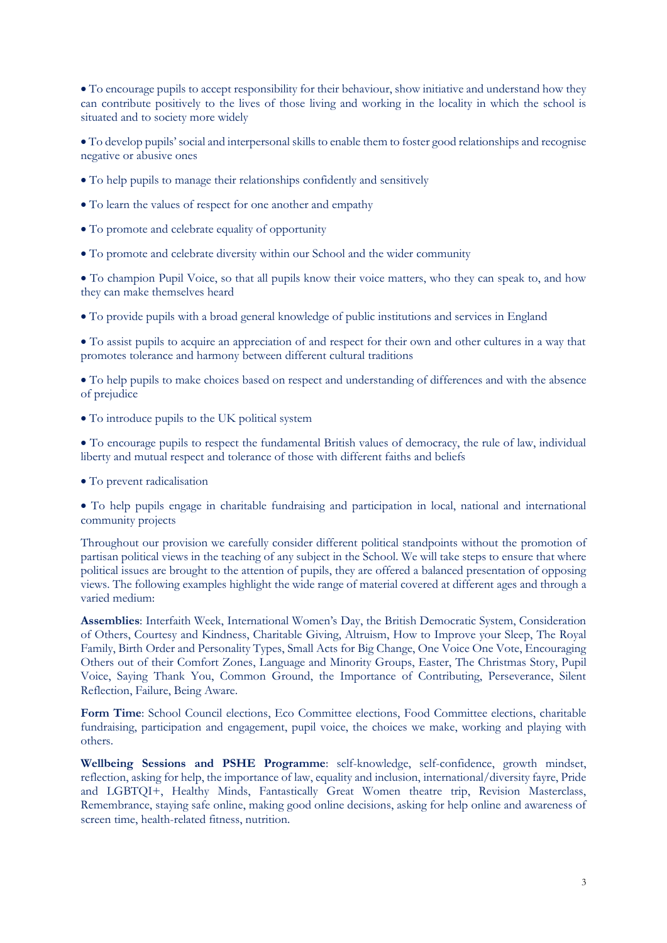• To encourage pupils to accept responsibility for their behaviour, show initiative and understand how they can contribute positively to the lives of those living and working in the locality in which the school is situated and to society more widely

• To develop pupils' social and interpersonal skills to enable them to foster good relationships and recognise negative or abusive ones

- To help pupils to manage their relationships confidently and sensitively
- To learn the values of respect for one another and empathy
- To promote and celebrate equality of opportunity
- To promote and celebrate diversity within our School and the wider community

• To champion Pupil Voice, so that all pupils know their voice matters, who they can speak to, and how they can make themselves heard

• To provide pupils with a broad general knowledge of public institutions and services in England

• To assist pupils to acquire an appreciation of and respect for their own and other cultures in a way that promotes tolerance and harmony between different cultural traditions

• To help pupils to make choices based on respect and understanding of differences and with the absence of prejudice

• To introduce pupils to the UK political system

• To encourage pupils to respect the fundamental British values of democracy, the rule of law, individual liberty and mutual respect and tolerance of those with different faiths and beliefs

• To prevent radicalisation

• To help pupils engage in charitable fundraising and participation in local, national and international community projects

Throughout our provision we carefully consider different political standpoints without the promotion of partisan political views in the teaching of any subject in the School. We will take steps to ensure that where political issues are brought to the attention of pupils, they are offered a balanced presentation of opposing views. The following examples highlight the wide range of material covered at different ages and through a varied medium:

**Assemblies**: Interfaith Week, International Women's Day, the British Democratic System, Consideration of Others, Courtesy and Kindness, Charitable Giving, Altruism, How to Improve your Sleep, The Royal Family, Birth Order and Personality Types, Small Acts for Big Change, One Voice One Vote, Encouraging Others out of their Comfort Zones, Language and Minority Groups, Easter, The Christmas Story, Pupil Voice, Saying Thank You, Common Ground, the Importance of Contributing, Perseverance, Silent Reflection, Failure, Being Aware.

**Form Time**: School Council elections, Eco Committee elections, Food Committee elections, charitable fundraising, participation and engagement, pupil voice, the choices we make, working and playing with others.

**Wellbeing Sessions and PSHE Programme**: self-knowledge, self-confidence, growth mindset, reflection, asking for help, the importance of law, equality and inclusion, international/diversity fayre, Pride and LGBTQI+, Healthy Minds, Fantastically Great Women theatre trip, Revision Masterclass, Remembrance, staying safe online, making good online decisions, asking for help online and awareness of screen time, health-related fitness, nutrition.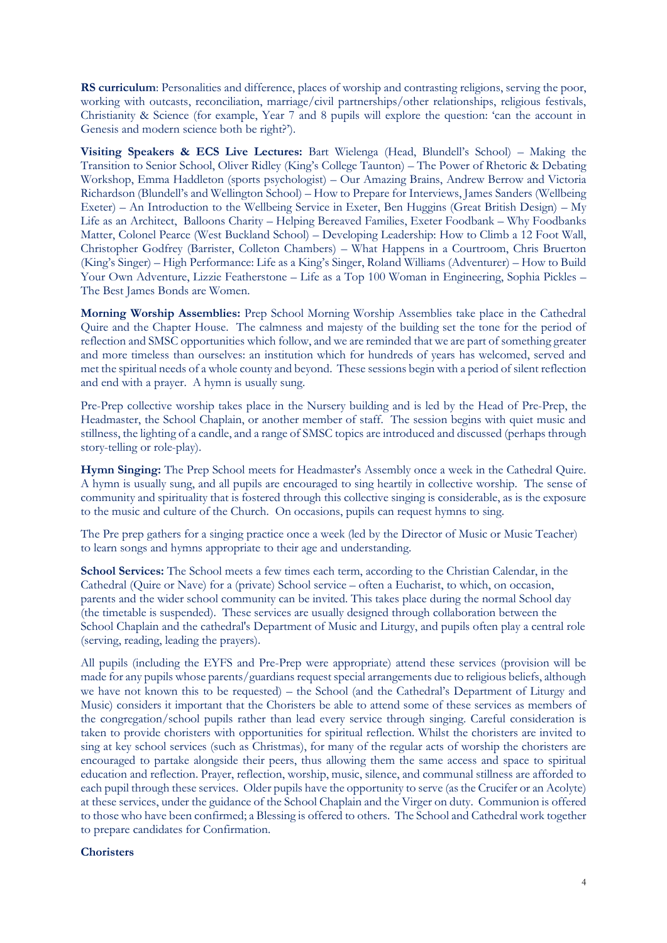**RS curriculum**: Personalities and difference, places of worship and contrasting religions, serving the poor, working with outcasts, reconciliation, marriage/civil partnerships/other relationships, religious festivals, Christianity & Science (for example, Year 7 and 8 pupils will explore the question: 'can the account in Genesis and modern science both be right?').

**Visiting Speakers & ECS Live Lectures:** Bart Wielenga (Head, Blundell's School) – Making the Transition to Senior School, Oliver Ridley (King's College Taunton) – The Power of Rhetoric & Debating Workshop, Emma Haddleton (sports psychologist) – Our Amazing Brains, Andrew Berrow and Victoria Richardson (Blundell's and Wellington School) – How to Prepare for Interviews, James Sanders (Wellbeing Exeter) – An Introduction to the Wellbeing Service in Exeter, Ben Huggins (Great British Design) – My Life as an Architect, Balloons Charity – Helping Bereaved Families, Exeter Foodbank – Why Foodbanks Matter, Colonel Pearce (West Buckland School) – Developing Leadership: How to Climb a 12 Foot Wall, Christopher Godfrey (Barrister, Colleton Chambers) – What Happens in a Courtroom, Chris Bruerton (King's Singer) – High Performance: Life as a King's Singer, Roland Williams (Adventurer) – How to Build Your Own Adventure, Lizzie Featherstone – Life as a Top 100 Woman in Engineering, Sophia Pickles – The Best James Bonds are Women.

**Morning Worship Assemblies:** Prep School Morning Worship Assemblies take place in the Cathedral Quire and the Chapter House. The calmness and majesty of the building set the tone for the period of reflection and SMSC opportunities which follow, and we are reminded that we are part of something greater and more timeless than ourselves: an institution which for hundreds of years has welcomed, served and met the spiritual needs of a whole county and beyond. These sessions begin with a period of silent reflection and end with a prayer. A hymn is usually sung.

Pre-Prep collective worship takes place in the Nursery building and is led by the Head of Pre-Prep, the Headmaster, the School Chaplain, or another member of staff. The session begins with quiet music and stillness, the lighting of a candle, and a range of SMSC topics are introduced and discussed (perhaps through story-telling or role-play).

**Hymn Singing:** The Prep School meets for Headmaster's Assembly once a week in the Cathedral Quire. A hymn is usually sung, and all pupils are encouraged to sing heartily in collective worship. The sense of community and spirituality that is fostered through this collective singing is considerable, as is the exposure to the music and culture of the Church. On occasions, pupils can request hymns to sing.

The Pre prep gathers for a singing practice once a week (led by the Director of Music or Music Teacher) to learn songs and hymns appropriate to their age and understanding.

**School Services:** The School meets a few times each term, according to the Christian Calendar, in the Cathedral (Quire or Nave) for a (private) School service – often a Eucharist, to which, on occasion, parents and the wider school community can be invited. This takes place during the normal School day (the timetable is suspended). These services are usually designed through collaboration between the School Chaplain and the cathedral's Department of Music and Liturgy, and pupils often play a central role (serving, reading, leading the prayers).

All pupils (including the EYFS and Pre-Prep were appropriate) attend these services (provision will be made for any pupils whose parents/guardians request special arrangements due to religious beliefs, although we have not known this to be requested) – the School (and the Cathedral's Department of Liturgy and Music) considers it important that the Choristers be able to attend some of these services as members of the congregation/school pupils rather than lead every service through singing. Careful consideration is taken to provide choristers with opportunities for spiritual reflection. Whilst the choristers are invited to sing at key school services (such as Christmas), for many of the regular acts of worship the choristers are encouraged to partake alongside their peers, thus allowing them the same access and space to spiritual education and reflection. Prayer, reflection, worship, music, silence, and communal stillness are afforded to each pupil through these services. Older pupils have the opportunity to serve (as the Crucifer or an Acolyte) at these services, under the guidance of the School Chaplain and the Virger on duty. Communion is offered to those who have been confirmed; a Blessing is offered to others. The School and Cathedral work together to prepare candidates for Confirmation.

#### **Choristers**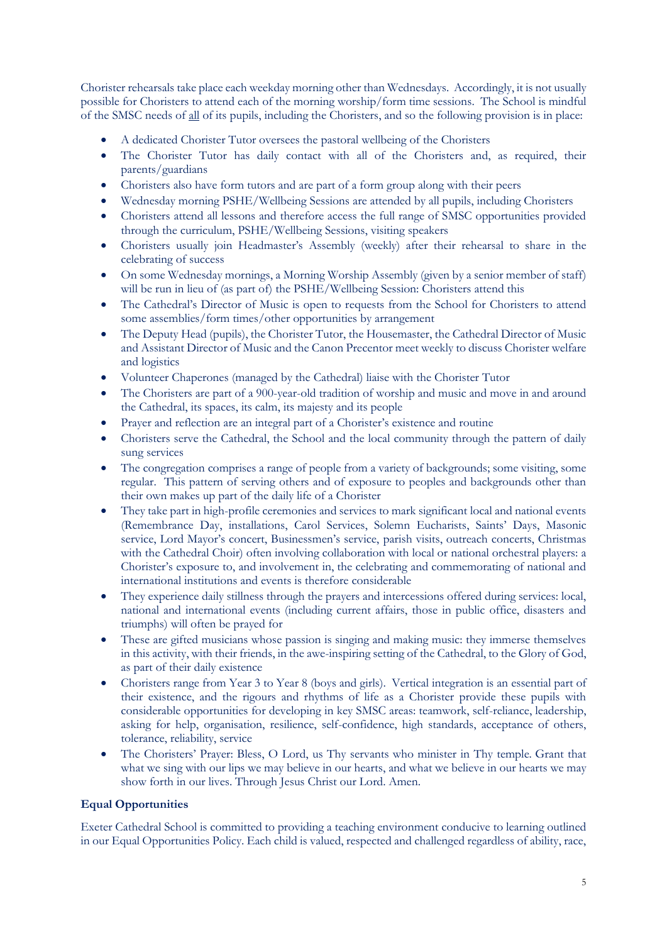Chorister rehearsals take place each weekday morning other than Wednesdays. Accordingly, it is not usually possible for Choristers to attend each of the morning worship/form time sessions. The School is mindful of the SMSC needs of all of its pupils, including the Choristers, and so the following provision is in place:

- A dedicated Chorister Tutor oversees the pastoral wellbeing of the Choristers
- The Chorister Tutor has daily contact with all of the Choristers and, as required, their parents/guardians
- Choristers also have form tutors and are part of a form group along with their peers
- Wednesday morning PSHE/Wellbeing Sessions are attended by all pupils, including Choristers
- Choristers attend all lessons and therefore access the full range of SMSC opportunities provided through the curriculum, PSHE/Wellbeing Sessions, visiting speakers
- Choristers usually join Headmaster's Assembly (weekly) after their rehearsal to share in the celebrating of success
- On some Wednesday mornings, a Morning Worship Assembly (given by a senior member of staff) will be run in lieu of (as part of) the PSHE/Wellbeing Session: Choristers attend this
- The Cathedral's Director of Music is open to requests from the School for Choristers to attend some assemblies/form times/other opportunities by arrangement
- The Deputy Head (pupils), the Chorister Tutor, the Housemaster, the Cathedral Director of Music and Assistant Director of Music and the Canon Precentor meet weekly to discuss Chorister welfare and logistics
- Volunteer Chaperones (managed by the Cathedral) liaise with the Chorister Tutor
- The Choristers are part of a 900-year-old tradition of worship and music and move in and around the Cathedral, its spaces, its calm, its majesty and its people
- Prayer and reflection are an integral part of a Chorister's existence and routine
- Choristers serve the Cathedral, the School and the local community through the pattern of daily sung services
- The congregation comprises a range of people from a variety of backgrounds; some visiting, some regular. This pattern of serving others and of exposure to peoples and backgrounds other than their own makes up part of the daily life of a Chorister
- They take part in high-profile ceremonies and services to mark significant local and national events (Remembrance Day, installations, Carol Services, Solemn Eucharists, Saints' Days, Masonic service, Lord Mayor's concert, Businessmen's service, parish visits, outreach concerts, Christmas with the Cathedral Choir) often involving collaboration with local or national orchestral players: a Chorister's exposure to, and involvement in, the celebrating and commemorating of national and international institutions and events is therefore considerable
- They experience daily stillness through the prayers and intercessions offered during services: local, national and international events (including current affairs, those in public office, disasters and triumphs) will often be prayed for
- These are gifted musicians whose passion is singing and making music: they immerse themselves in this activity, with their friends, in the awe-inspiring setting of the Cathedral, to the Glory of God, as part of their daily existence
- Choristers range from Year 3 to Year 8 (boys and girls). Vertical integration is an essential part of their existence, and the rigours and rhythms of life as a Chorister provide these pupils with considerable opportunities for developing in key SMSC areas: teamwork, self-reliance, leadership, asking for help, organisation, resilience, self-confidence, high standards, acceptance of others, tolerance, reliability, service
- The Choristers' Prayer: Bless, O Lord, us Thy servants who minister in Thy temple. Grant that what we sing with our lips we may believe in our hearts, and what we believe in our hearts we may show forth in our lives. Through Jesus Christ our Lord. Amen.

### **Equal Opportunities**

Exeter Cathedral School is committed to providing a teaching environment conducive to learning outlined in our Equal Opportunities Policy. Each child is valued, respected and challenged regardless of ability, race,